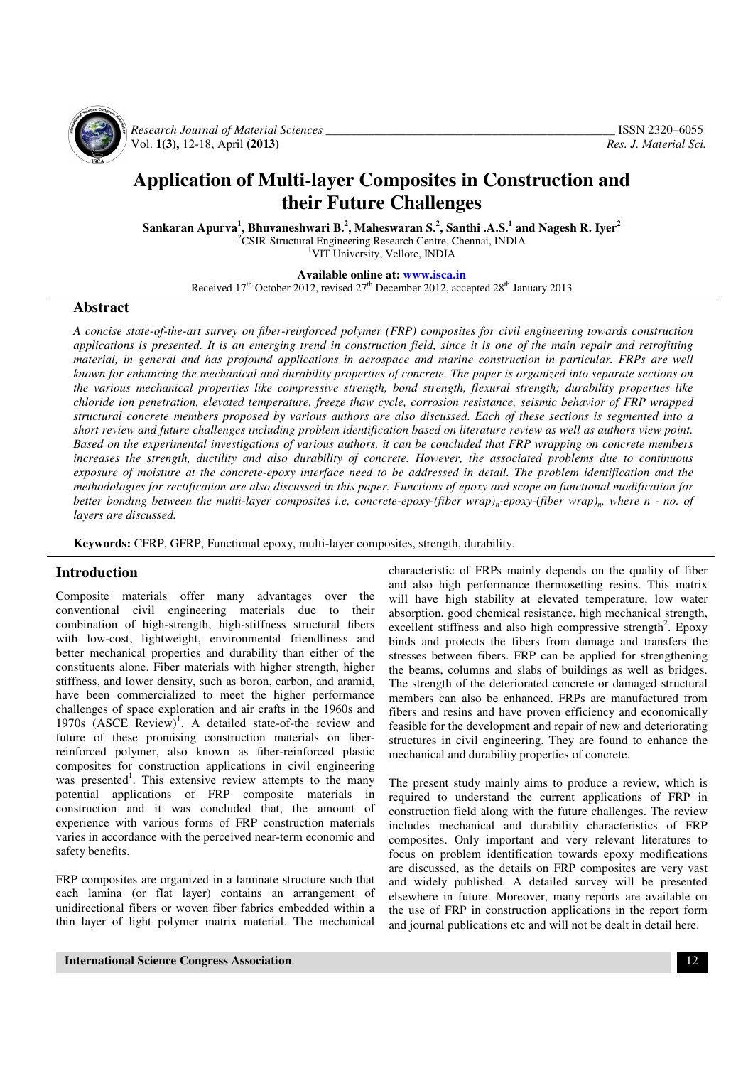

 *Research Journal of Material Sciences \_\_\_\_\_\_\_\_\_\_\_\_\_\_\_\_\_\_\_\_\_\_\_\_\_\_\_\_\_\_\_\_\_\_\_\_\_\_\_\_\_\_\_\_\_\_\_* ISSN 2320–6055 Vol. **1(3),** 12-18, April **(2013)** *Res. J. Material Sci.*

# **Application of Multi-layer Composites in Construction and their Future Challenges**

**Sankaran Apurva<sup>1</sup> , Bhuvaneshwari B.<sup>2</sup> , Maheswaran S.<sup>2</sup> , Santhi .A.S.<sup>1</sup> and Nagesh R. Iyer<sup>2</sup>** <sup>2</sup>CSIR-Structural Engineering Research Centre, Chennai, INDIA

<sup>1</sup>VIT University, Vellore, INDIA

**Available online at: www.isca.in**

Received  $17<sup>th</sup>$  October 2012, revised  $27<sup>th</sup>$  December 2012, accepted  $28<sup>th</sup>$  January 2013

#### **Abstract**

*A concise state-of-the-art survey on fiber-reinforced polymer (FRP) composites for civil engineering towards construction applications is presented. It is an emerging trend in construction field, since it is one of the main repair and retrofitting material, in general and has profound applications in aerospace and marine construction in particular. FRPs are well known for enhancing the mechanical and durability properties of concrete. The paper is organized into separate sections on the various mechanical properties like compressive strength, bond strength, flexural strength; durability properties like chloride ion penetration, elevated temperature, freeze thaw cycle, corrosion resistance, seismic behavior of FRP wrapped structural concrete members proposed by various authors are also discussed. Each of these sections is segmented into a short review and future challenges including problem identification based on literature review as well as authors view point. Based on the experimental investigations of various authors, it can be concluded that FRP wrapping on concrete members increases the strength, ductility and also durability of concrete. However, the associated problems due to continuous exposure of moisture at the concrete-epoxy interface need to be addressed in detail. The problem identification and the methodologies for rectification are also discussed in this paper. Functions of epoxy and scope on functional modification for better bonding between the multi-layer composites i.e, concrete-epoxy-(fiber wrap)n-epoxy-(fiber wrap)n, where n - no. of layers are discussed.* 

**Keywords:** CFRP, GFRP, Functional epoxy, multi-layer composites, strength, durability.

#### **Introduction**

Composite materials offer many advantages over the conventional civil engineering materials due to their combination of high-strength, high-stiffness structural fibers with low-cost, lightweight, environmental friendliness and better mechanical properties and durability than either of the constituents alone. Fiber materials with higher strength, higher stiffness, and lower density, such as boron, carbon, and aramid, have been commercialized to meet the higher performance challenges of space exploration and air crafts in the 1960s and 1970s  $(ASCE \t\t\t Review)^1$ . A detailed state-of-the review and future of these promising construction materials on fiberreinforced polymer, also known as fiber-reinforced plastic composites for construction applications in civil engineering was presented<sup>1</sup>. This extensive review attempts to the many potential applications of FRP composite materials in construction and it was concluded that, the amount of experience with various forms of FRP construction materials varies in accordance with the perceived near-term economic and safety benefits.

FRP composites are organized in a laminate structure such that each lamina (or flat layer) contains an arrangement of unidirectional fibers or woven fiber fabrics embedded within a thin layer of light polymer matrix material. The mechanical characteristic of FRPs mainly depends on the quality of fiber and also high performance thermosetting resins. This matrix will have high stability at elevated temperature, low water absorption, good chemical resistance, high mechanical strength, excellent stiffness and also high compressive strength<sup>2</sup>. Epoxy binds and protects the fibers from damage and transfers the stresses between fibers. FRP can be applied for strengthening the beams, columns and slabs of buildings as well as bridges. The strength of the deteriorated concrete or damaged structural members can also be enhanced. FRPs are manufactured from fibers and resins and have proven efficiency and economically feasible for the development and repair of new and deteriorating structures in civil engineering. They are found to enhance the mechanical and durability properties of concrete.

The present study mainly aims to produce a review, which is required to understand the current applications of FRP in construction field along with the future challenges. The review includes mechanical and durability characteristics of FRP composites. Only important and very relevant literatures to focus on problem identification towards epoxy modifications are discussed, as the details on FRP composites are very vast and widely published. A detailed survey will be presented elsewhere in future. Moreover, many reports are available on the use of FRP in construction applications in the report form and journal publications etc and will not be dealt in detail here.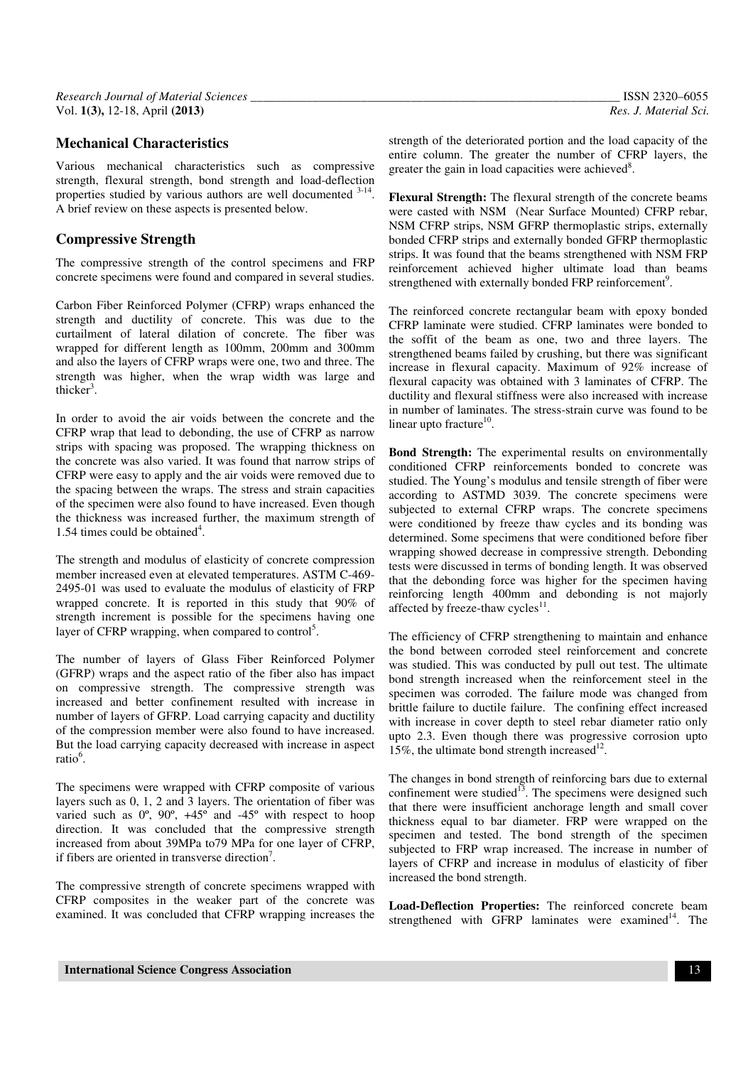# **Mechanical Characteristics**

Various mechanical characteristics such as compressive strength, flexural strength, bond strength and load-deflection properties studied by various authors are well documented  $3-14$ . A brief review on these aspects is presented below.

# **Compressive Strength**

The compressive strength of the control specimens and FRP concrete specimens were found and compared in several studies.

Carbon Fiber Reinforced Polymer (CFRP) wraps enhanced the strength and ductility of concrete. This was due to the curtailment of lateral dilation of concrete. The fiber was wrapped for different length as 100mm, 200mm and 300mm and also the layers of CFRP wraps were one, two and three. The strength was higher, when the wrap width was large and thicker<sup>3</sup>.

In order to avoid the air voids between the concrete and the CFRP wrap that lead to debonding, the use of CFRP as narrow strips with spacing was proposed. The wrapping thickness on the concrete was also varied. It was found that narrow strips of CFRP were easy to apply and the air voids were removed due to the spacing between the wraps. The stress and strain capacities of the specimen were also found to have increased. Even though the thickness was increased further, the maximum strength of 1.54 times could be obtained<sup>4</sup>.

The strength and modulus of elasticity of concrete compression member increased even at elevated temperatures. ASTM C-469- 2495-01 was used to evaluate the modulus of elasticity of FRP wrapped concrete. It is reported in this study that 90% of strength increment is possible for the specimens having one layer of CFRP wrapping, when compared to control<sup>5</sup>.

The number of layers of Glass Fiber Reinforced Polymer (GFRP) wraps and the aspect ratio of the fiber also has impact on compressive strength. The compressive strength was increased and better confinement resulted with increase in number of layers of GFRP. Load carrying capacity and ductility of the compression member were also found to have increased. But the load carrying capacity decreased with increase in aspect ratio<sup>6</sup>.

The specimens were wrapped with CFRP composite of various layers such as 0, 1, 2 and 3 layers. The orientation of fiber was varied such as  $0^{\circ}$ ,  $90^{\circ}$ ,  $+45^{\circ}$  and  $-45^{\circ}$  with respect to hoop direction. It was concluded that the compressive strength increased from about 39MPa to79 MPa for one layer of CFRP, if fibers are oriented in transverse direction<sup>7</sup>.

The compressive strength of concrete specimens wrapped with CFRP composites in the weaker part of the concrete was examined. It was concluded that CFRP wrapping increases the strength of the deteriorated portion and the load capacity of the entire column. The greater the number of CFRP layers, the greater the gain in load capacities were achieved<sup>8</sup>.

**Flexural Strength:** The flexural strength of the concrete beams were casted with NSM (Near Surface Mounted) CFRP rebar, NSM CFRP strips, NSM GFRP thermoplastic strips, externally bonded CFRP strips and externally bonded GFRP thermoplastic strips. It was found that the beams strengthened with NSM FRP reinforcement achieved higher ultimate load than beams strengthened with externally bonded FRP reinforcement<sup>9</sup>.

The reinforced concrete rectangular beam with epoxy bonded CFRP laminate were studied. CFRP laminates were bonded to the soffit of the beam as one, two and three layers. The strengthened beams failed by crushing, but there was significant increase in flexural capacity. Maximum of 92% increase of flexural capacity was obtained with 3 laminates of CFRP. The ductility and flexural stiffness were also increased with increase in number of laminates. The stress-strain curve was found to be linear upto fracture<sup>10</sup>.

**Bond Strength:** The experimental results on environmentally conditioned CFRP reinforcements bonded to concrete was studied. The Young's modulus and tensile strength of fiber were according to ASTMD 3039. The concrete specimens were subjected to external CFRP wraps. The concrete specimens were conditioned by freeze thaw cycles and its bonding was determined. Some specimens that were conditioned before fiber wrapping showed decrease in compressive strength. Debonding tests were discussed in terms of bonding length. It was observed that the debonding force was higher for the specimen having reinforcing length 400mm and debonding is not majorly affected by freeze-thaw cycles $<sup>11</sup>$ .</sup>

The efficiency of CFRP strengthening to maintain and enhance the bond between corroded steel reinforcement and concrete was studied. This was conducted by pull out test. The ultimate bond strength increased when the reinforcement steel in the specimen was corroded. The failure mode was changed from brittle failure to ductile failure. The confining effect increased with increase in cover depth to steel rebar diameter ratio only upto 2.3. Even though there was progressive corrosion upto 15%, the ultimate bond strength increased<sup>12</sup>.

The changes in bond strength of reinforcing bars due to external confinement were studied<sup>13</sup>. The specimens were designed such that there were insufficient anchorage length and small cover thickness equal to bar diameter. FRP were wrapped on the specimen and tested. The bond strength of the specimen subjected to FRP wrap increased. The increase in number of layers of CFRP and increase in modulus of elasticity of fiber increased the bond strength.

**Load-Deflection Properties:** The reinforced concrete beam strengthened with GFRP laminates were examined<sup>14</sup>. The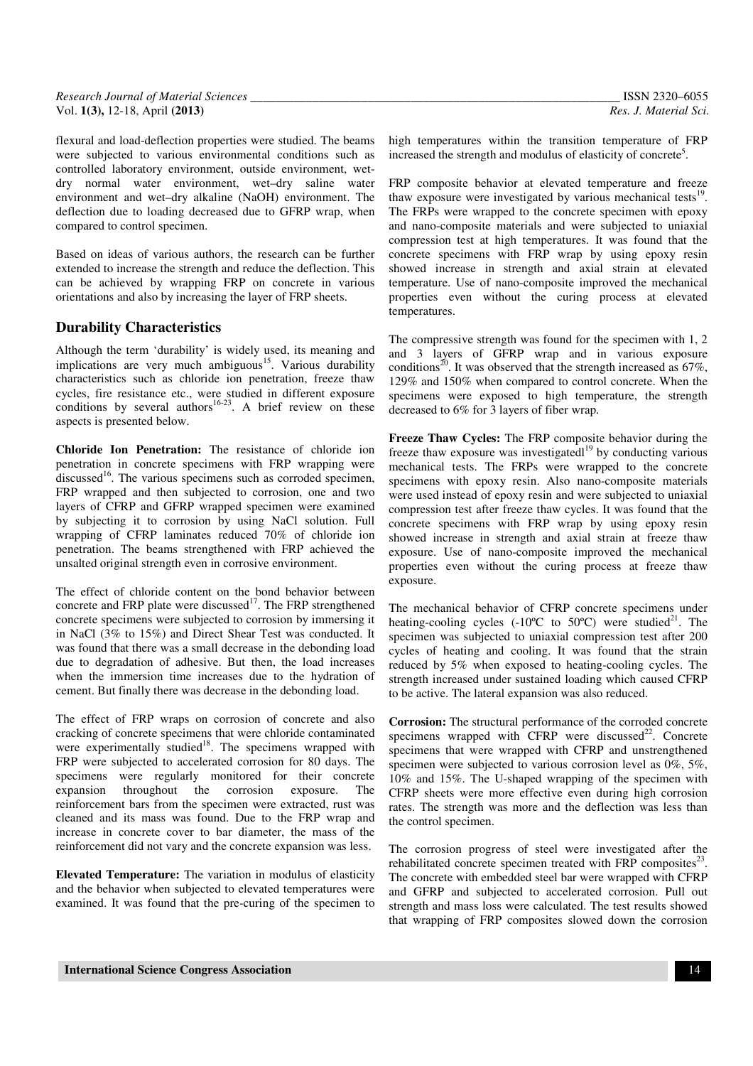| Research Journal of Material Sciences | ISSN 2320-6055        |
|---------------------------------------|-----------------------|
| Vol. $1(3)$ , 12-18, April $(2013)$   | Res. J. Material Sci. |

flexural and load-deflection properties were studied. The beams were subjected to various environmental conditions such as controlled laboratory environment, outside environment, wetdry normal water environment, wet–dry saline water environment and wet–dry alkaline (NaOH) environment. The deflection due to loading decreased due to GFRP wrap, when compared to control specimen.

Based on ideas of various authors, the research can be further extended to increase the strength and reduce the deflection. This can be achieved by wrapping FRP on concrete in various orientations and also by increasing the layer of FRP sheets.

# **Durability Characteristics**

Although the term 'durability' is widely used, its meaning and implications are very much ambiguous<sup>15</sup>. Various durability characteristics such as chloride ion penetration, freeze thaw cycles, fire resistance etc., were studied in different exposure conditions by several authors<sup>16-23</sup>. A brief review on these aspects is presented below.

**Chloride Ion Penetration:** The resistance of chloride ion penetration in concrete specimens with FRP wrapping were discussed<sup>16</sup>. The various specimens such as corroded specimen, FRP wrapped and then subjected to corrosion, one and two layers of CFRP and GFRP wrapped specimen were examined by subjecting it to corrosion by using NaCl solution. Full wrapping of CFRP laminates reduced 70% of chloride ion penetration. The beams strengthened with FRP achieved the unsalted original strength even in corrosive environment.

The effect of chloride content on the bond behavior between concrete and FRP plate were discussed<sup>17</sup>. The FRP strengthened concrete specimens were subjected to corrosion by immersing it in NaCl (3% to 15%) and Direct Shear Test was conducted. It was found that there was a small decrease in the debonding load due to degradation of adhesive. But then, the load increases when the immersion time increases due to the hydration of cement. But finally there was decrease in the debonding load.

The effect of FRP wraps on corrosion of concrete and also cracking of concrete specimens that were chloride contaminated were experimentally studied<sup>18</sup>. The specimens wrapped with FRP were subjected to accelerated corrosion for 80 days. The specimens were regularly monitored for their concrete expansion throughout the corrosion exposure. The expansion throughout the corrosion exposure. The reinforcement bars from the specimen were extracted, rust was cleaned and its mass was found. Due to the FRP wrap and increase in concrete cover to bar diameter, the mass of the reinforcement did not vary and the concrete expansion was less.

**Elevated Temperature:** The variation in modulus of elasticity and the behavior when subjected to elevated temperatures were examined. It was found that the pre-curing of the specimen to high temperatures within the transition temperature of FRP increased the strength and modulus of elasticity of concrete<sup>5</sup>.

FRP composite behavior at elevated temperature and freeze thaw exposure were investigated by various mechanical tests<sup>19</sup>. The FRPs were wrapped to the concrete specimen with epoxy and nano-composite materials and were subjected to uniaxial compression test at high temperatures. It was found that the concrete specimens with FRP wrap by using epoxy resin showed increase in strength and axial strain at elevated temperature. Use of nano-composite improved the mechanical properties even without the curing process at elevated temperatures.

The compressive strength was found for the specimen with 1, 2 and 3 layers of GFRP wrap and in various exposure conditions<sup>20</sup>. It was observed that the strength increased as  $67\%$ , 129% and 150% when compared to control concrete. When the specimens were exposed to high temperature, the strength decreased to 6% for 3 layers of fiber wrap.

**Freeze Thaw Cycles:** The FRP composite behavior during the freeze thaw exposure was investigated $l^{19}$  by conducting various mechanical tests. The FRPs were wrapped to the concrete specimens with epoxy resin. Also nano-composite materials were used instead of epoxy resin and were subjected to uniaxial compression test after freeze thaw cycles. It was found that the concrete specimens with FRP wrap by using epoxy resin showed increase in strength and axial strain at freeze thaw exposure. Use of nano-composite improved the mechanical properties even without the curing process at freeze thaw exposure.

The mechanical behavior of CFRP concrete specimens under heating-cooling cycles  $(-10^{\circ}\text{C})$  to  $50^{\circ}\text{C}$ ) were studied<sup>21</sup>. The specimen was subjected to uniaxial compression test after 200 cycles of heating and cooling. It was found that the strain reduced by 5% when exposed to heating-cooling cycles. The strength increased under sustained loading which caused CFRP to be active. The lateral expansion was also reduced.

**Corrosion:** The structural performance of the corroded concrete specimens wrapped with CFRP were discussed $^{22}$ . Concrete specimens that were wrapped with CFRP and unstrengthened specimen were subjected to various corrosion level as 0%, 5%, 10% and 15%. The U-shaped wrapping of the specimen with CFRP sheets were more effective even during high corrosion rates. The strength was more and the deflection was less than the control specimen.

The corrosion progress of steel were investigated after the rehabilitated concrete specimen treated with FRP composites $^{23}$ . The concrete with embedded steel bar were wrapped with CFRP and GFRP and subjected to accelerated corrosion. Pull out strength and mass loss were calculated. The test results showed that wrapping of FRP composites slowed down the corrosion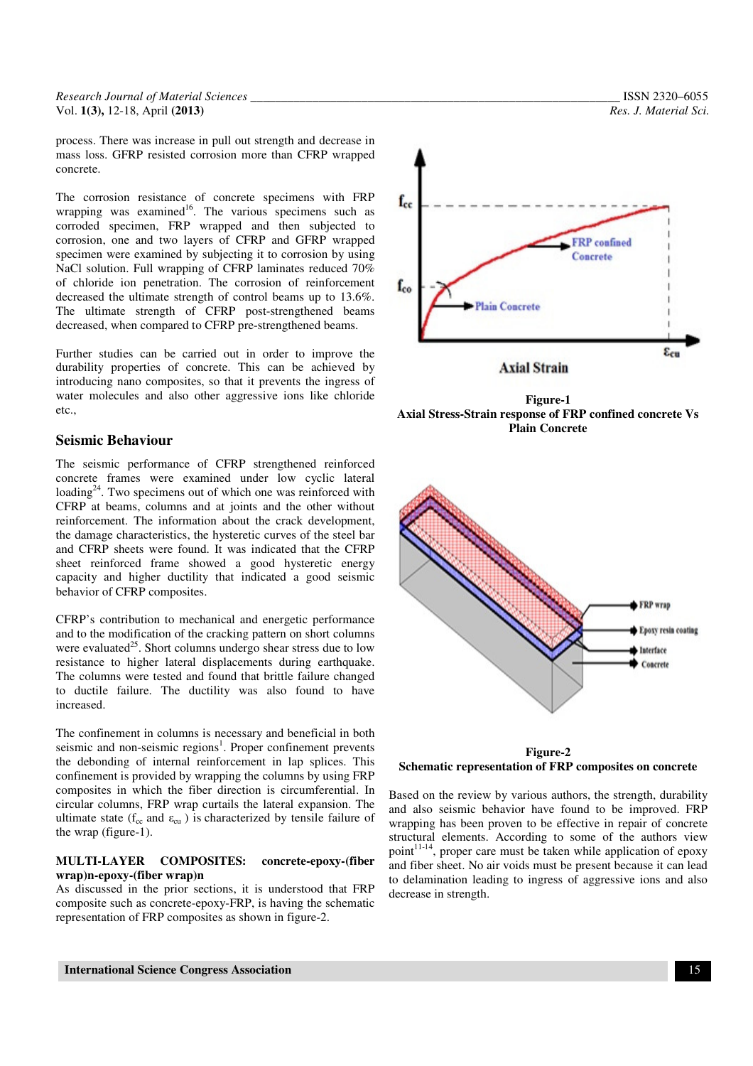*Research Journal of Material Sciences \_\_\_\_\_\_\_\_\_\_\_\_\_\_\_\_\_\_\_\_\_\_\_\_\_\_\_\_\_\_\_\_\_\_\_\_\_\_\_\_\_\_\_\_\_\_\_\_\_\_\_\_\_\_\_\_\_\_\_\_* ISSN 2320–6055 Vol. **1(3),** 12-18, April **(2013)** *Res. J. Material Sci.*

process. There was increase in pull out strength and decrease in mass loss. GFRP resisted corrosion more than CFRP wrapped concrete.

The corrosion resistance of concrete specimens with FRP wrapping was examined<sup>16</sup>. The various specimens such as corroded specimen, FRP wrapped and then subjected to corrosion, one and two layers of CFRP and GFRP wrapped specimen were examined by subjecting it to corrosion by using NaCl solution. Full wrapping of CFRP laminates reduced 70% of chloride ion penetration. The corrosion of reinforcement decreased the ultimate strength of control beams up to 13.6%. The ultimate strength of CFRP post-strengthened beams decreased, when compared to CFRP pre-strengthened beams.

Further studies can be carried out in order to improve the durability properties of concrete. This can be achieved by introducing nano composites, so that it prevents the ingress of water molecules and also other aggressive ions like chloride etc.,

## **Seismic Behaviour**

The seismic performance of CFRP strengthened reinforced concrete frames were examined under low cyclic lateral loading<sup>24</sup>. Two specimens out of which one was reinforced with CFRP at beams, columns and at joints and the other without reinforcement. The information about the crack development, the damage characteristics, the hysteretic curves of the steel bar and CFRP sheets were found. It was indicated that the CFRP sheet reinforced frame showed a good hysteretic energy capacity and higher ductility that indicated a good seismic behavior of CFRP composites.

CFRP's contribution to mechanical and energetic performance and to the modification of the cracking pattern on short columns were evaluated<sup>25</sup>. Short columns undergo shear stress due to low resistance to higher lateral displacements during earthquake. The columns were tested and found that brittle failure changed to ductile failure. The ductility was also found to have increased.

The confinement in columns is necessary and beneficial in both seismic and non-seismic regions<sup>1</sup>. Proper confinement prevents the debonding of internal reinforcement in lap splices. This confinement is provided by wrapping the columns by using FRP composites in which the fiber direction is circumferential. In circular columns, FRP wrap curtails the lateral expansion. The ultimate state ( $f_{cc}$  and  $\varepsilon_{cu}$ ) is characterized by tensile failure of the wrap (figure-1).

#### **MULTI-LAYER COMPOSITES: concrete-epoxy-(fiber wrap)n-epoxy-(fiber wrap)n**

As discussed in the prior sections, it is understood that FRP composite such as concrete-epoxy-FRP, is having the schematic representation of FRP composites as shown in figure-2.



**Figure-1 Axial Stress-Strain response of FRP confined concrete Vs Plain Concrete** 



**Figure-2 Schematic representation of FRP composites on concrete** 

Based on the review by various authors, the strength, durability and also seismic behavior have found to be improved. FRP wrapping has been proven to be effective in repair of concrete structural elements. According to some of the authors view point $11-14$ , proper care must be taken while application of epoxy and fiber sheet. No air voids must be present because it can lead to delamination leading to ingress of aggressive ions and also decrease in strength.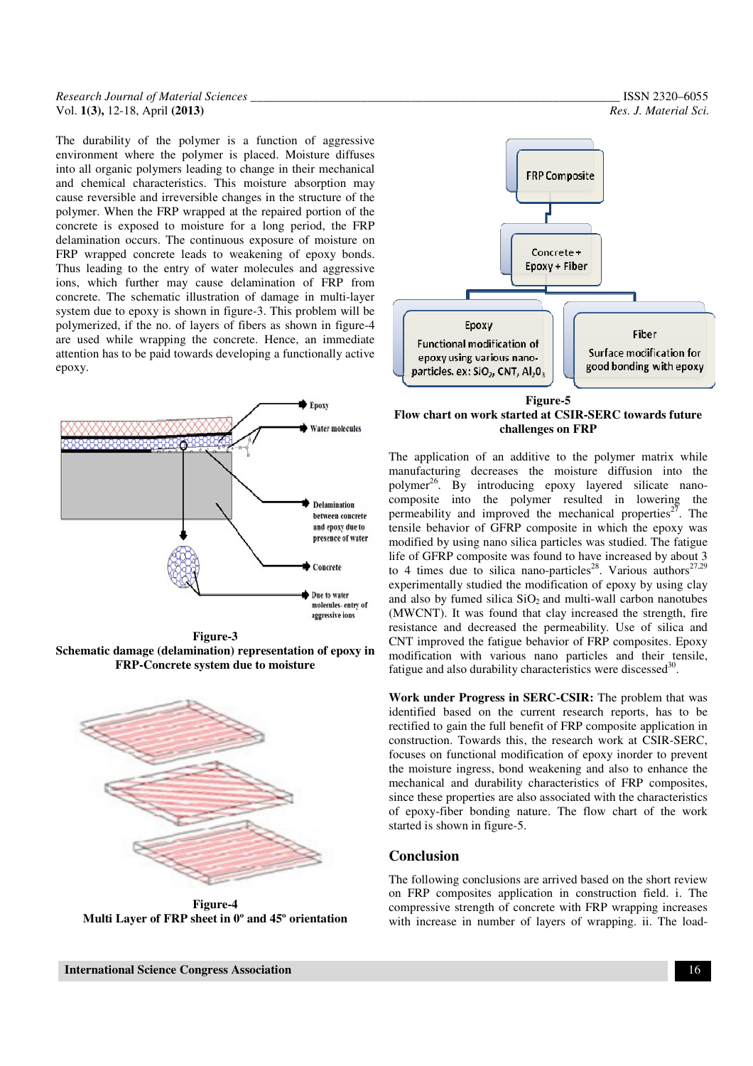#### *Research Journal of Material Sciences \_\_\_\_\_\_\_\_\_\_\_\_\_\_\_\_\_\_\_\_\_\_\_\_\_\_\_\_\_\_\_\_\_\_\_\_\_\_\_\_\_\_\_\_\_\_\_\_\_\_\_\_\_\_\_\_\_\_\_\_* ISSN 2320–6055 Vol. **1(3),** 12-18, April **(2013)** *Res. J. Material Sci.*

The durability of the polymer is a function of aggressive environment where the polymer is placed. Moisture diffuses into all organic polymers leading to change in their mechanical and chemical characteristics. This moisture absorption may cause reversible and irreversible changes in the structure of the polymer. When the FRP wrapped at the repaired portion of the concrete is exposed to moisture for a long period, the FRP delamination occurs. The continuous exposure of moisture on FRP wrapped concrete leads to weakening of epoxy bonds. Thus leading to the entry of water molecules and aggressive ions, which further may cause delamination of FRP from concrete. The schematic illustration of damage in multi-layer system due to epoxy is shown in figure-3. This problem will be polymerized, if the no. of layers of fibers as shown in figure-4 are used while wrapping the concrete. Hence, an immediate attention has to be paid towards developing a functionally active epoxy.



**Figure-3 Schematic damage (delamination) representation of epoxy in FRP-Concrete system due to moisture** 



**Figure-4 Multi Layer of FRP sheet in 0º and 45º orientation** 



**Flow chart on work started at CSIR-SERC towards future challenges on FRP**

The application of an additive to the polymer matrix while manufacturing decreases the moisture diffusion into the polymer<sup>26</sup>. By introducing epoxy layered silicate nanocomposite into the polymer resulted in lowering the permeability and improved the mechanical properties<sup>27</sup>. The tensile behavior of GFRP composite in which the epoxy was modified by using nano silica particles was studied. The fatigue life of GFRP composite was found to have increased by about 3 to 4 times due to silica nano-particles<sup>28</sup>. Various authors<sup>27,29</sup> experimentally studied the modification of epoxy by using clay and also by fumed silica  $SiO<sub>2</sub>$  and multi-wall carbon nanotubes (MWCNT). It was found that clay increased the strength, fire resistance and decreased the permeability. Use of silica and CNT improved the fatigue behavior of FRP composites. Epoxy modification with various nano particles and their tensile, fatigue and also durability characteristics were discessed<sup>30</sup>.

**Work under Progress in SERC-CSIR:** The problem that was identified based on the current research reports, has to be rectified to gain the full benefit of FRP composite application in construction. Towards this, the research work at CSIR-SERC, focuses on functional modification of epoxy inorder to prevent the moisture ingress, bond weakening and also to enhance the mechanical and durability characteristics of FRP composites, since these properties are also associated with the characteristics of epoxy-fiber bonding nature. The flow chart of the work started is shown in figure-5.

#### **Conclusion**

The following conclusions are arrived based on the short review on FRP composites application in construction field. i. The compressive strength of concrete with FRP wrapping increases with increase in number of layers of wrapping. ii. The load-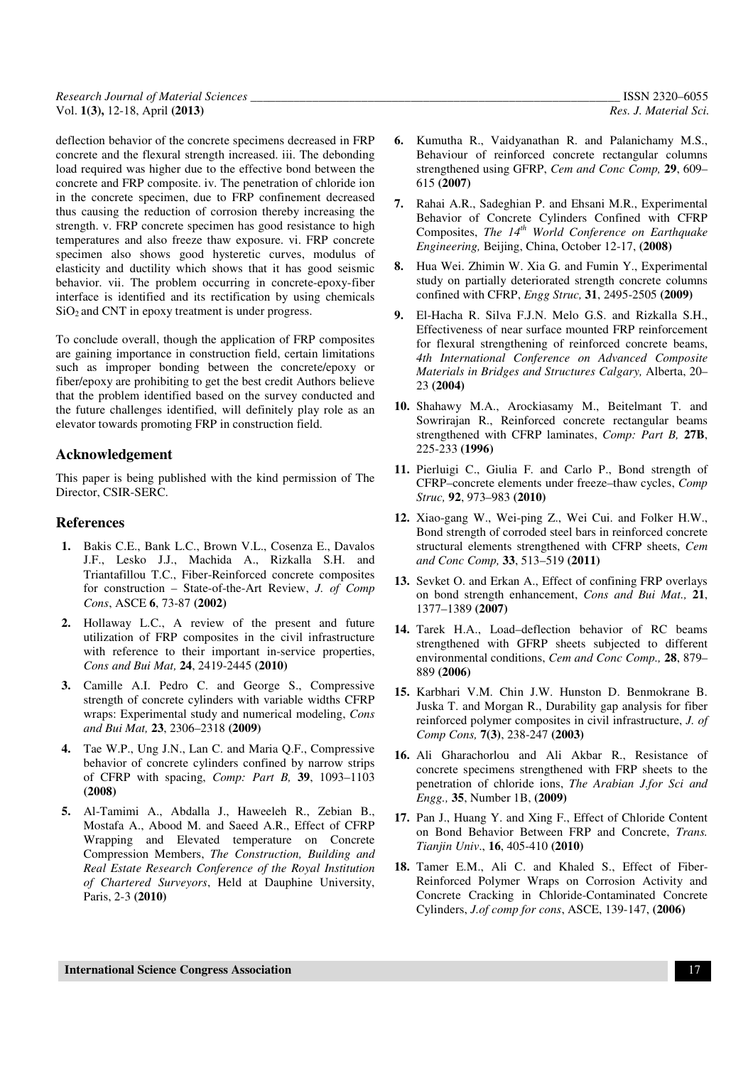| Research Journal of Material Sciences | ISSN 2320-6055        |
|---------------------------------------|-----------------------|
| Vol. $1(3)$ , 12-18, April $(2013)$   | Res. J. Material Sci. |

deflection behavior of the concrete specimens decreased in FRP concrete and the flexural strength increased. iii. The debonding load required was higher due to the effective bond between the concrete and FRP composite. iv. The penetration of chloride ion in the concrete specimen, due to FRP confinement decreased thus causing the reduction of corrosion thereby increasing the strength. v. FRP concrete specimen has good resistance to high temperatures and also freeze thaw exposure. vi. FRP concrete specimen also shows good hysteretic curves, modulus of elasticity and ductility which shows that it has good seismic behavior. vii. The problem occurring in concrete-epoxy-fiber interface is identified and its rectification by using chemicals  $SiO<sub>2</sub>$  and CNT in epoxy treatment is under progress.

To conclude overall, though the application of FRP composites are gaining importance in construction field, certain limitations such as improper bonding between the concrete/epoxy or fiber/epoxy are prohibiting to get the best credit Authors believe that the problem identified based on the survey conducted and the future challenges identified, will definitely play role as an elevator towards promoting FRP in construction field.

### **Acknowledgement**

This paper is being published with the kind permission of The Director, CSIR-SERC.

### **References**

- **1.** Bakis C.E., Bank L.C., Brown V.L., Cosenza E., Davalos J.F., Lesko J.J., Machida A., Rizkalla S.H. and Triantafillou T.C., Fiber-Reinforced concrete composites for construction – State-of-the-Art Review, *J. of Comp Cons*, ASCE **6**, 73-87 **(2002)**
- **2.** Hollaway L.C., A review of the present and future utilization of FRP composites in the civil infrastructure with reference to their important in-service properties, *Cons and Bui Mat,* **24**, 2419-2445 **(2010)**
- **3.** Camille A.I. Pedro C. and George S., Compressive strength of concrete cylinders with variable widths CFRP wraps: Experimental study and numerical modeling, *Cons and Bui Mat,* **23**, 2306–2318 **(2009)**
- **4.** Tae W.P., Ung J.N., Lan C. and Maria Q.F., Compressive behavior of concrete cylinders confined by narrow strips of CFRP with spacing, *Comp: Part B,* **39**, 1093–1103 **(2008)**
- **5.** Al-Tamimi A., Abdalla J., Haweeleh R., Zebian B., Mostafa A., Abood M. and Saeed A.R., Effect of CFRP Wrapping and Elevated temperature on Concrete Compression Members, *The Construction, Building and Real Estate Research Conference of the Royal Institution of Chartered Surveyors*, Held at Dauphine University, Paris, 2-3 **(2010)**
- **6.** Kumutha R., Vaidyanathan R. and Palanichamy M.S., Behaviour of reinforced concrete rectangular columns strengthened using GFRP, *Cem and Conc Comp,* **29**, 609– 615 **(2007)**
- **7.** Rahai A.R., Sadeghian P. and Ehsani M.R., Experimental Behavior of Concrete Cylinders Confined with CFRP Composites, *The 14th World Conference on Earthquake Engineering,* Beijing, China, October 12-17, **(2008)**
- **8.** Hua Wei. Zhimin W. Xia G. and Fumin Y., Experimental study on partially deteriorated strength concrete columns confined with CFRP, *Engg Struc,* **31**, 2495-2505 **(2009)**
- **9.** El-Hacha R. Silva F.J.N. Melo G.S. and Rizkalla S.H., Effectiveness of near surface mounted FRP reinforcement for flexural strengthening of reinforced concrete beams, *4th International Conference on Advanced Composite Materials in Bridges and Structures Calgary,* Alberta, 20– 23 **(2004)**
- **10.** Shahawy M.A., Arockiasamy M., Beitelmant T. and Sowrirajan R., Reinforced concrete rectangular beams strengthened with CFRP laminates, *Comp: Part B,* **27B**, 225-233 **(1996)**
- **11.** Pierluigi C., Giulia F. and Carlo P., Bond strength of CFRP–concrete elements under freeze–thaw cycles, *Comp Struc,* **92**, 973–983 **(2010)**
- **12.** Xiao-gang W., Wei-ping Z., Wei Cui. and Folker H.W., Bond strength of corroded steel bars in reinforced concrete structural elements strengthened with CFRP sheets, *Cem and Conc Comp,* **33**, 513–519 **(2011)**
- **13.** Sevket O. and Erkan A., Effect of confining FRP overlays on bond strength enhancement, *Cons and Bui Mat.,* **21**, 1377–1389 **(2007)**
- **14.** Tarek H.A., Load–deflection behavior of RC beams strengthened with GFRP sheets subjected to different environmental conditions, *Cem and Conc Comp.,* **28**, 879– 889 **(2006)**
- **15.** Karbhari V.M. Chin J.W. Hunston D. Benmokrane B. Juska T. and Morgan R., Durability gap analysis for fiber reinforced polymer composites in civil infrastructure, *J. of Comp Cons,* **7(3)**, 238-247 **(2003)**
- **16.** Ali Gharachorlou and Ali Akbar R., Resistance of concrete specimens strengthened with FRP sheets to the penetration of chloride ions, *The Arabian J.for Sci and Engg.,* **35**, Number 1B, **(2009)**
- **17.** Pan J., Huang Y. and Xing F., Effect of Chloride Content on Bond Behavior Between FRP and Concrete, *Trans. Tianjin Univ*., **16**, 405-410 **(2010)**
- **18.** Tamer E.M., Ali C. and Khaled S., Effect of Fiber-Reinforced Polymer Wraps on Corrosion Activity and Concrete Cracking in Chloride-Contaminated Concrete Cylinders, *J.of comp for cons*, ASCE, 139-147, **(2006)**